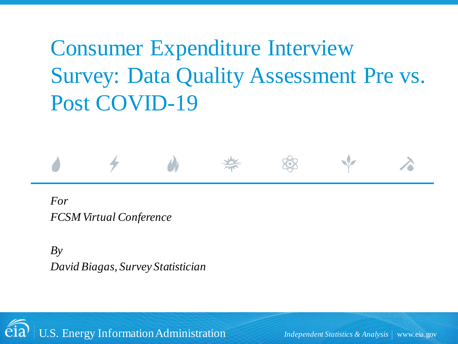# Consumer Expenditure Interview Survey: Data Quality Assessment Pre vs. Post COVID-19

#### *For FCSM Virtual Conference*

*By David Biagas, Survey Statistician*

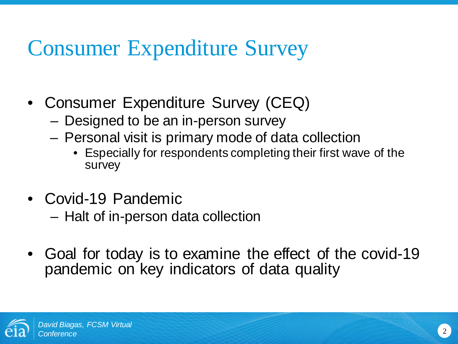# Consumer Expenditure Survey

- Consumer Expenditure Survey (CEQ)
	- Designed to be an in-person survey
	- Personal visit is primary mode of data collection
		- Especially for respondents completing their first wave of the survey
- Covid-19 Pandemic
	- Halt of in-person data collection
- Goal for today is to examine the effect of the covid-19 pandemic on key indicators of data quality

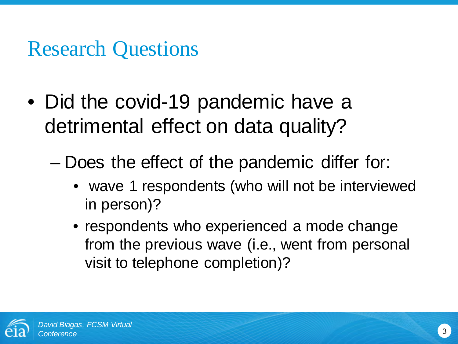# Research Questions

- Did the covid-19 pandemic have a detrimental effect on data quality?
	- Does the effect of the pandemic differ for:
		- wave 1 respondents (who will not be interviewed in person)?
		- respondents who experienced a mode change from the previous wave (i.e., went from personal visit to telephone completion)?

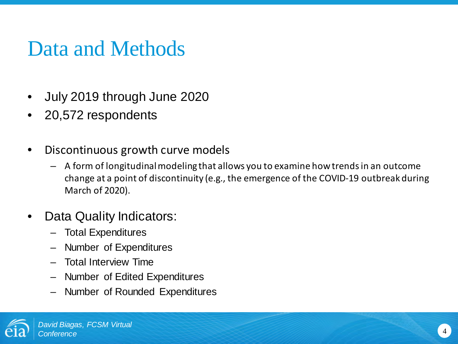# Data and Methods

- July 2019 through June 2020
- 20,572 respondents
- Discontinuous growth curve models
	- A form of longitudinal modeling that allows you to examine how trends in an outcome change at a point of discontinuity (e.g., the emergence of the COVID-19 outbreak during March of 2020).
- Data Quality Indicators:
	- Total Expenditures
	- Number of Expenditures
	- Total Interview Time
	- Number of Edited Expenditures
	- Number of Rounded Expenditures

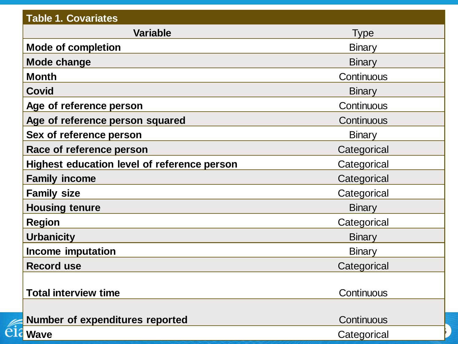| <b>Table 1. Covariates</b>                         |               |
|----------------------------------------------------|---------------|
| <b>Variable</b>                                    | <b>Type</b>   |
| <b>Mode of completion</b>                          | <b>Binary</b> |
| <b>Mode change</b>                                 | <b>Binary</b> |
| <b>Month</b>                                       | Continuous    |
| <b>Covid</b>                                       | <b>Binary</b> |
| Age of reference person                            | Continuous    |
| Age of reference person squared                    | Continuous    |
| Sex of reference person                            | <b>Binary</b> |
| Race of reference person                           | Categorical   |
| <b>Highest education level of reference person</b> | Categorical   |
| <b>Family income</b>                               | Categorical   |
| <b>Family size</b>                                 | Categorical   |
| <b>Housing tenure</b>                              | <b>Binary</b> |
| <b>Region</b>                                      | Categorical   |
| <b>Urbanicity</b>                                  | <b>Binary</b> |
| Income imputation                                  | <b>Binary</b> |
| <b>Record use</b>                                  | Categorical   |
|                                                    |               |
| <b>Total interview time</b>                        | Continuous    |
|                                                    |               |
| <b>Number of expenditures reported</b>             | Continuous    |
| <b>Wave</b>                                        | Categorical   |

éi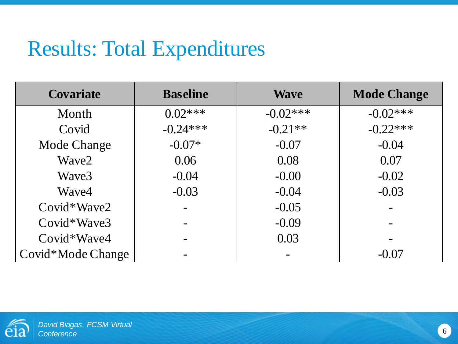| <b>Covariate</b>  | <b>Baseline</b> | <b>Wave</b> | <b>Mode Change</b> |
|-------------------|-----------------|-------------|--------------------|
| Month             | $0.02***$       | $-0.02***$  | $-0.02***$         |
| Covid             | $-0.24***$      | $-0.21**$   | $-0.22***$         |
| Mode Change       | $-0.07*$        | $-0.07$     | $-0.04$            |
| Wave2             | 0.06            | 0.08        | 0.07               |
| Wave3             | $-0.04$         | $-0.00$     | $-0.02$            |
| Wave4             | $-0.03$         | $-0.04$     | $-0.03$            |
| Covid*Wave2       |                 | $-0.05$     |                    |
| $Covid*Wave3$     |                 | $-0.09$     |                    |
| $Covid*Wave4$     |                 | 0.03        |                    |
| Covid*Mode Change |                 |             | $-0.07$            |

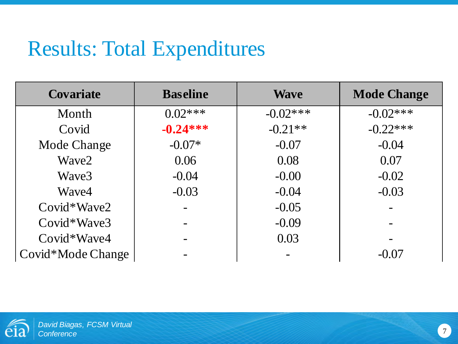| <b>Covariate</b>  | <b>Baseline</b> | <b>Wave</b> | <b>Mode Change</b> |
|-------------------|-----------------|-------------|--------------------|
| Month             | $0.02***$       | $-0.02***$  | $-0.02***$         |
| Covid             | $-0.24***$      | $-0.21**$   | $-0.22***$         |
| Mode Change       | $-0.07*$        | $-0.07$     | $-0.04$            |
| Wave2             | 0.06            | 0.08        | 0.07               |
| Wave3             | $-0.04$         | $-0.00$     | $-0.02$            |
| Wave4             | $-0.03$         | $-0.04$     | $-0.03$            |
| Covid*Wave2       |                 | $-0.05$     |                    |
| $Covid*Wave3$     |                 | $-0.09$     |                    |
| $Covid*Wave4$     |                 | 0.03        |                    |
| Covid*Mode Change |                 |             | $-0.07$            |

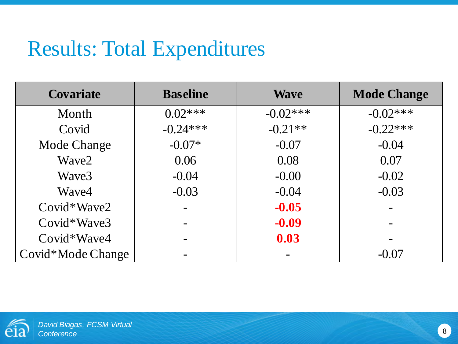| <b>Covariate</b>  | <b>Baseline</b> | <b>Wave</b> | <b>Mode Change</b> |
|-------------------|-----------------|-------------|--------------------|
| Month             | $0.02***$       | $-0.02***$  | $-0.02***$         |
| Covid             | $-0.24***$      | $-0.21**$   | $-0.22***$         |
| Mode Change       | $-0.07*$        | $-0.07$     | $-0.04$            |
| Wave2             | 0.06            | 0.08        | 0.07               |
| Wave3             | $-0.04$         | $-0.00$     | $-0.02$            |
| Wave4             | $-0.03$         | $-0.04$     | $-0.03$            |
| $Covid*Wave2$     |                 | $-0.05$     |                    |
| Covid*Wave3       |                 | $-0.09$     |                    |
| $Covid*Wave4$     |                 | 0.03        |                    |
| Covid*Mode Change |                 |             | $-0.07$            |

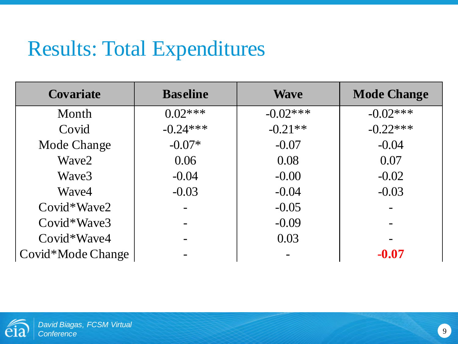| <b>Covariate</b>  | <b>Baseline</b> | <b>Wave</b> | <b>Mode Change</b> |
|-------------------|-----------------|-------------|--------------------|
| Month             | $0.02***$       | $-0.02***$  | $-0.02***$         |
| Covid             | $-0.24***$      | $-0.21**$   | $-0.22***$         |
| Mode Change       | $-0.07*$        | $-0.07$     | $-0.04$            |
| Wave2             | 0.06            | 0.08        | 0.07               |
| Wave3             | $-0.04$         | $-0.00$     | $-0.02$            |
| Wave4             | $-0.03$         | $-0.04$     | $-0.03$            |
| $Covid*Wave2$     |                 | $-0.05$     |                    |
| $Covid*Wave3$     |                 | $-0.09$     |                    |
| Covid*Wave4       |                 | 0.03        |                    |
| Covid*Mode Change |                 |             | $-0.07$            |

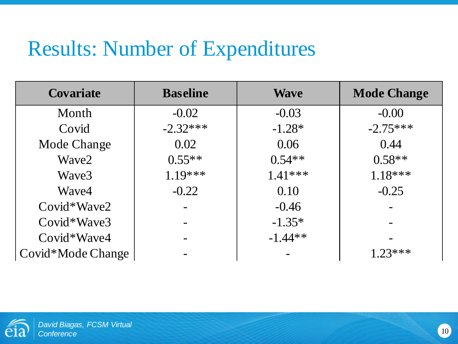| <b>Covariate</b>  | <b>Baseline</b> | <b>Wave</b> | <b>Mode Change</b> |
|-------------------|-----------------|-------------|--------------------|
| Month             | $-0.02$         | $-0.03$     | $-0.00$            |
| Covid             | $-2.32***$      | $-1.28*$    | $-2.75***$         |
| Mode Change       | 0.02            | 0.06        | 0.44               |
| Wave2             | $0.55**$        | $0.54**$    | $0.58**$           |
| Wave3             | $1.19***$       | $1.41***$   | $1.18***$          |
| Wave4             | $-0.22$         | 0.10        | $-0.25$            |
| $Covid*Wave2$     |                 | $-0.46$     |                    |
| $Covid*Wave3$     |                 | $-1.35*$    |                    |
| Covid*Wave4       |                 | $-1.44**$   |                    |
| Covid*Mode Change |                 |             | $1.23***$          |

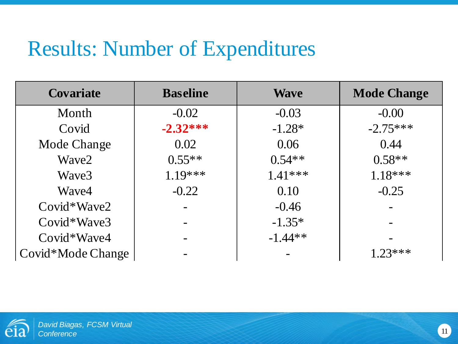| <b>Covariate</b>  | <b>Baseline</b> | <b>Wave</b> | <b>Mode Change</b> |
|-------------------|-----------------|-------------|--------------------|
| Month             | $-0.02$         | $-0.03$     | $-0.00$            |
| Covid             | $-2.32***$      | $-1.28*$    | $-2.75***$         |
| Mode Change       | 0.02            | 0.06        | 0.44               |
| Wave2             | $0.55**$        | $0.54**$    | $0.58**$           |
| Waye3             | $1.19***$       | $1.41***$   | $1.18***$          |
| Wave4             | $-0.22$         | 0.10        | $-0.25$            |
| $Covid*Wave2$     |                 | $-0.46$     |                    |
| $Covid*Wave3$     |                 | $-1.35*$    |                    |
| Covid*Wave4       |                 | $-1.44**$   |                    |
| Covid*Mode Change |                 |             | $1.23***$          |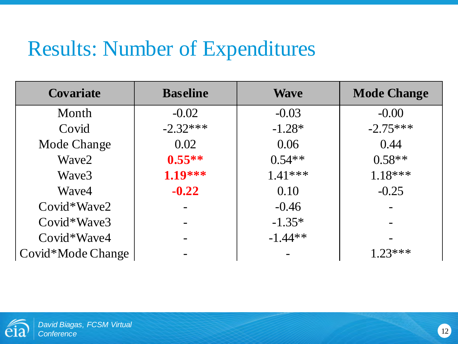| <b>Covariate</b>  | <b>Baseline</b> | <b>Wave</b> | <b>Mode Change</b> |
|-------------------|-----------------|-------------|--------------------|
| Month             | $-0.02$         | $-0.03$     | $-0.00$            |
| Covid             | $-2.32***$      | $-1.28*$    | $-2.75***$         |
| Mode Change       | 0.02            | 0.06        | 0.44               |
| Wave2             | $0.55**$        | $0.54**$    | $0.58**$           |
| Wave3             | 1.19***         | $1.41***$   | $1.18***$          |
| Wave4             | $-0.22$         | 0.10        | $-0.25$            |
| $Covid*Wave2$     |                 | $-0.46$     |                    |
| $Covid*Wave3$     |                 | $-1.35*$    |                    |
| Covid*Wave4       |                 | $-1.44**$   |                    |
| Covid*Mode Change |                 |             | $1.23***$          |

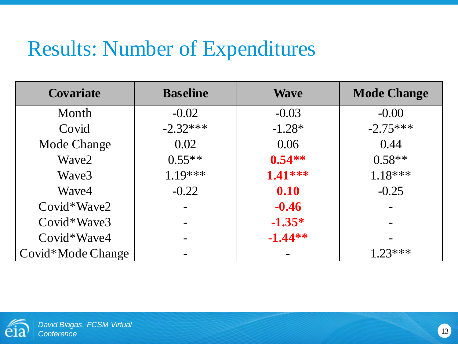| <b>Covariate</b>  | <b>Baseline</b> | <b>Wave</b> | <b>Mode Change</b> |
|-------------------|-----------------|-------------|--------------------|
| Month             | $-0.02$         | $-0.03$     | $-0.00$            |
| Covid             | $-2.32***$      | $-1.28*$    | $-2.75***$         |
| Mode Change       | 0.02            | 0.06        | 0.44               |
| Wave2             | $0.55**$        | $0.54**$    | $0.58**$           |
| Wave3             | $1.19***$       | $1.41***$   | $1.18***$          |
| Wave4             | $-0.22$         | 0.10        | $-0.25$            |
| $Covid*Wave2$     |                 | $-0.46$     |                    |
| $Covid*Wave3$     |                 | $-1.35*$    |                    |
| Covid*Wave4       |                 | $-1.44**$   |                    |
| Covid*Mode Change |                 |             | $123***$           |

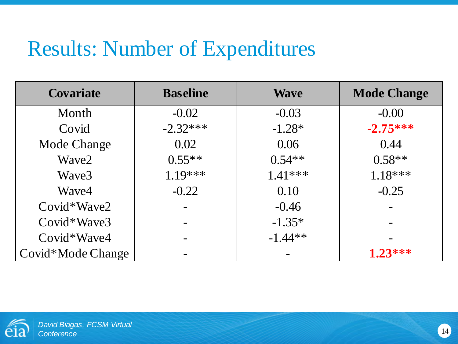| <b>Covariate</b>  | <b>Baseline</b> | <b>Wave</b> | <b>Mode Change</b> |
|-------------------|-----------------|-------------|--------------------|
| Month             | $-0.02$         | $-0.03$     | $-0.00$            |
| Covid             | $-2.32***$      | $-1.28*$    | $-2.75***$         |
| Mode Change       | 0.02            | 0.06        | 0.44               |
| Wave2             | $0.55**$        | $0.54**$    | $0.58**$           |
| Wave3             | $1.19***$       | $1.41***$   | $1.18***$          |
| Wave4             | $-0.22$         | 0.10        | $-0.25$            |
| Covid*Wave2       |                 | $-0.46$     |                    |
| $Covid*Wave3$     |                 | $-1.35*$    |                    |
| Covid*Wave4       |                 | $-1.44**$   |                    |
| Covid*Mode Change |                 |             | $1.23***$          |

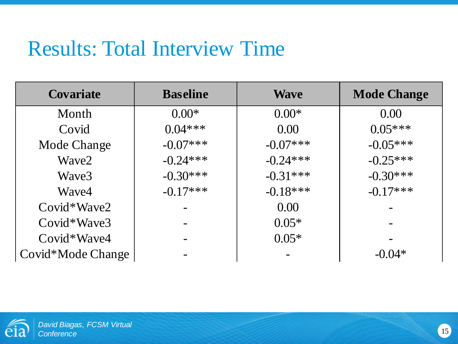| <b>Covariate</b>  | <b>Baseline</b> | <b>Wave</b> | <b>Mode Change</b> |
|-------------------|-----------------|-------------|--------------------|
| Month             | $0.00*$         | $0.00*$     | 0.00               |
| Covid             | $0.04***$       | 0.00        | $0.05***$          |
| Mode Change       | $-0.07***$      | $-0.07***$  | $-0.05***$         |
| Wave2             | $-0.24***$      | $-0.24***$  | $-0.25***$         |
| Wave3             | $-0.30***$      | $-0.31***$  | $-0.30***$         |
| Wave4             | $-0.17***$      | $-0.18***$  | $-0.17***$         |
| Covid*Wave2       |                 | 0.00        |                    |
| Covid*Wave3       |                 | $0.05*$     |                    |
| $Covid*Wave4$     |                 | $0.05*$     |                    |
| Covid*Mode Change |                 |             | $-0.04*$           |

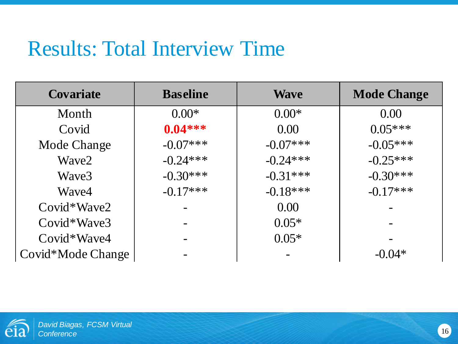| <b>Covariate</b>  | <b>Baseline</b> | <b>Wave</b> | <b>Mode Change</b> |
|-------------------|-----------------|-------------|--------------------|
| Month             | $0.00*$         | $0.00*$     | 0.00               |
| Covid             | $0.04***$       | 0.00        | $0.05***$          |
| Mode Change       | $-0.07***$      | $-0.07***$  | $-0.05***$         |
| Wave2             | $-0.24***$      | $-0.24***$  | $-0.25***$         |
| Wave3             | $-0.30***$      | $-0.31***$  | $-0.30***$         |
| Wave4             | $-0.17***$      | $-0.18***$  | $-0.17***$         |
| $Covid*Wave2$     |                 | 0.00        |                    |
| Covid*Wave3       |                 | $0.05*$     |                    |
| $Covid*Wave4$     |                 | $0.05*$     |                    |
| Covid*Mode Change |                 |             | $-0.04*$           |

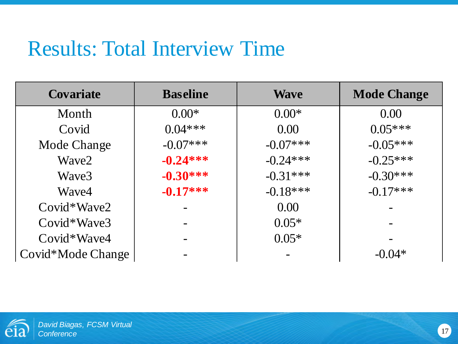| <b>Covariate</b>   | <b>Baseline</b> | <b>Wave</b> | <b>Mode Change</b> |
|--------------------|-----------------|-------------|--------------------|
| Month              | $0.00*$         | $0.00*$     | 0.00               |
| Covid              | $0.04***$       | 0.00        | $0.05***$          |
| <b>Mode Change</b> | $-0.07***$      | $-0.07***$  | $-0.05***$         |
| Wave2              | $-0.24***$      | $-0.24***$  | $-0.25***$         |
| Wave3              | $-0.30***$      | $-0.31***$  | $-0.30***$         |
| Wave4              | $-0.17***$      | $-0.18***$  | $-0.17***$         |
| $Covid*Wave2$      |                 | 0.00        |                    |
| Covid*Wave3        |                 | $0.05*$     |                    |
| $Covid*Wave4$      |                 | $0.05*$     |                    |
| Covid*Mode Change  |                 |             | $-0.04*$           |

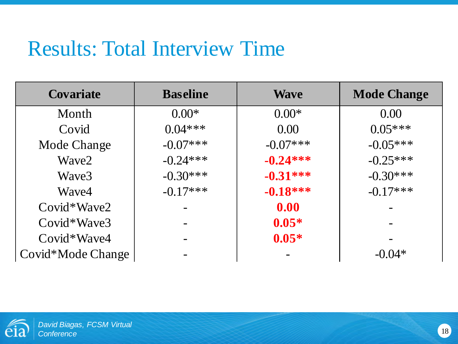| <b>Covariate</b>   | <b>Baseline</b> | <b>Wave</b> | <b>Mode Change</b> |
|--------------------|-----------------|-------------|--------------------|
| Month              | $0.00*$         | $0.00*$     | 0.00               |
| Covid              | $0.04***$       | 0.00        | $0.05***$          |
| <b>Mode Change</b> | $-0.07***$      | $-0.07***$  | $-0.05***$         |
| Wave2              | $-0.24***$      | $-0.24***$  | $-0.25***$         |
| Wave3              | $-0.30***$      | $-0.31***$  | $-0.30***$         |
| Wave4              | $-0.17***$      | $-0.18***$  | $-0.17***$         |
| $Covid*Wave2$      |                 | 0.00        |                    |
| Covid*Wave3        |                 | $0.05*$     |                    |
| $Covid*Wave4$      |                 | $0.05*$     |                    |
| Covid*Mode Change  |                 |             | $-0.04*$           |

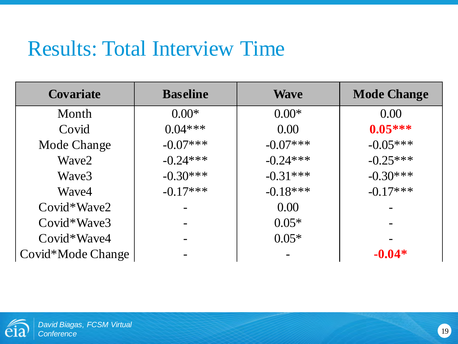| <b>Covariate</b>  | <b>Baseline</b> | <b>Wave</b> | <b>Mode Change</b> |
|-------------------|-----------------|-------------|--------------------|
| Month             | $0.00*$         | $0.00*$     | 0.00               |
| Covid             | $0.04***$       | 0.00        | $0.05***$          |
| Mode Change       | $-0.07***$      | $-0.07***$  | $-0.05***$         |
| Wave2             | $-0.24***$      | $-0.24***$  | $-0.25***$         |
| Wave3             | $-0.30***$      | $-0.31***$  | $-0.30***$         |
| Wave4             | $-0.17***$      | $-0.18***$  | $-0.17***$         |
| Covid*Wave2       |                 | 0.00        |                    |
| Covid*Wave3       |                 | $0.05*$     |                    |
| Covid*Wave4       |                 | $0.05*$     |                    |
| Covid*Mode Change |                 |             | $-0.04*$           |

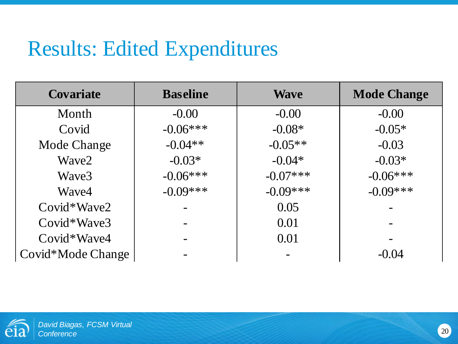### Results: Edited Expenditures

| <b>Covariate</b>  | <b>Baseline</b> | <b>Wave</b> | <b>Mode Change</b> |
|-------------------|-----------------|-------------|--------------------|
| Month             | $-0.00$         | $-0.00$     | $-0.00$            |
| Covid             | $-0.06***$      | $-0.08*$    | $-0.05*$           |
| Mode Change       | $-0.04**$       | $-0.05**$   | $-0.03$            |
| Wave2             | $-0.03*$        | $-0.04*$    | $-0.03*$           |
| Wave3             | $-0.06***$      | $-0.07***$  | $-0.06***$         |
| Wave4             | $-0.09***$      | $-0.09***$  | $-0.09***$         |
| Covid*Wave2       |                 | 0.05        |                    |
| $Covid*Wave3$     |                 | 0.01        |                    |
| Covid*Wave4       |                 | 0.01        |                    |
| Covid*Mode Change |                 |             | $-0.04$            |

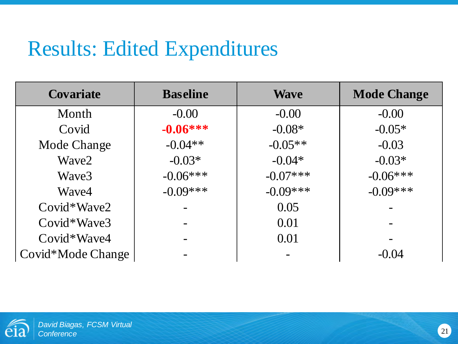# Results: Edited Expenditures

| <b>Covariate</b>   | <b>Baseline</b> | <b>Wave</b> | <b>Mode Change</b> |
|--------------------|-----------------|-------------|--------------------|
| Month              | $-0.00$         | $-0.00$     | $-0.00$            |
| Covid              | $-0.06***$      | $-0.08*$    | $-0.05*$           |
| <b>Mode Change</b> | $-0.04**$       | $-0.05**$   | $-0.03$            |
| Wave2              | $-0.03*$        | $-0.04*$    | $-0.03*$           |
| Wave3              | $-0.06***$      | $-0.07***$  | $-0.06***$         |
| Wave4              | $-0.09***$      | $-0.09***$  | $-0.09***$         |
| $Covid*Wave2$      |                 | 0.05        |                    |
| $Covid*Wave3$      |                 | 0.01        |                    |
| $Covid*Wave4$      |                 | 0.01        |                    |
| Covid*Mode Change  |                 |             | $-0.04$            |

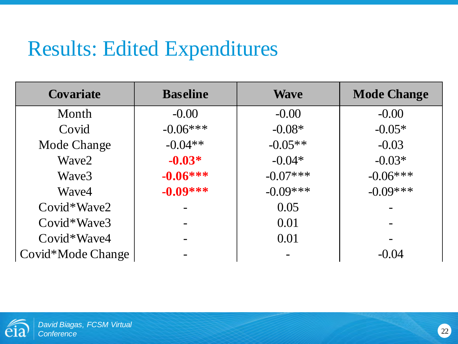# Results: Edited Expenditures

| <b>Covariate</b>   | <b>Baseline</b> | <b>Wave</b> | <b>Mode Change</b> |
|--------------------|-----------------|-------------|--------------------|
| Month              | $-0.00$         | $-0.00$     | $-0.00$            |
| Covid              | $-0.06***$      | $-0.08*$    | $-0.05*$           |
| <b>Mode Change</b> | $-0.04**$       | $-0.05**$   | $-0.03$            |
| Wave2              | $-0.03*$        | $-0.04*$    | $-0.03*$           |
| Wave3              | $-0.06***$      | $-0.07***$  | $-0.06***$         |
| Wave4              | $-0.09***$      | $-0.09***$  | $-0.09***$         |
| Covid*Wave2        |                 | 0.05        |                    |
| $Covid*Wave3$      |                 | 0.01        |                    |
| $Covid*Wave4$      |                 | 0.01        |                    |
| Covid*Mode Change  |                 |             | $-0.04$            |

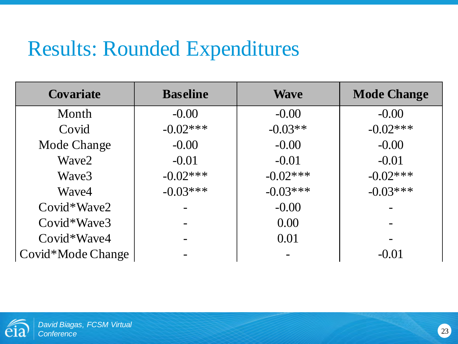#### Results: Rounded Expenditures

| <b>Covariate</b>  | <b>Baseline</b> | <b>Wave</b> | <b>Mode Change</b> |
|-------------------|-----------------|-------------|--------------------|
| Month             | $-0.00$         | $-0.00$     | $-0.00$            |
| Covid             | $-0.02***$      | $-0.03**$   | $-0.02***$         |
| Mode Change       | $-0.00$         | $-0.00$     | $-0.00$            |
| Wave2             | $-0.01$         | $-0.01$     | $-0.01$            |
| Wave3             | $-0.02***$      | $-0.02***$  | $-0.02***$         |
| Wave4             | $-0.03***$      | $-0.03***$  | $-0.03***$         |
| $Covid*Wave2$     |                 | $-0.00$     |                    |
| $Covid*Wave3$     |                 | 0.00        |                    |
| $Covid*Wave4$     |                 | 0.01        |                    |
| Covid*Mode Change |                 |             | $-0.01$            |

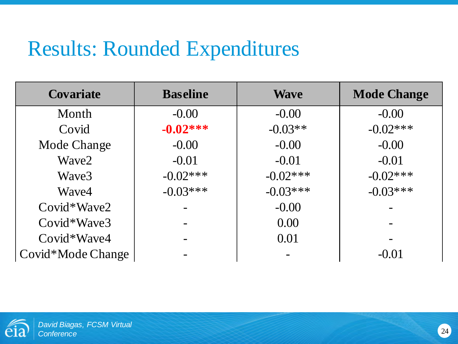#### Results: Rounded Expenditures

| <b>Covariate</b>   | <b>Baseline</b> | <b>Wave</b> | <b>Mode Change</b> |
|--------------------|-----------------|-------------|--------------------|
| Month              | $-0.00$         | $-0.00$     | $-0.00$            |
| Covid              | $-0.02***$      | $-0.03**$   | $-0.02***$         |
| <b>Mode Change</b> | $-0.00$         | $-0.00$     | $-0.00$            |
| Wave2              | $-0.01$         | $-0.01$     | $-0.01$            |
| Wave3              | $-0.02***$      | $-0.02***$  | $-0.02***$         |
| Wave4              | $-0.03***$      | $-0.03***$  | $-0.03***$         |
| $Covid*Wave2$      |                 | $-0.00$     |                    |
| $Covid*Wave3$      |                 | 0.00        |                    |
| $Covid*Wave4$      |                 | 0.01        |                    |
| Covid*Mode Change  |                 |             | $-0.01$            |

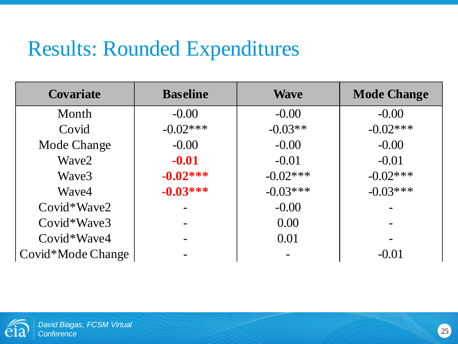#### Results: Rounded Expenditures

| <b>Covariate</b>   | <b>Baseline</b> | <b>Wave</b> | <b>Mode Change</b> |
|--------------------|-----------------|-------------|--------------------|
| Month              | $-0.00$         | $-0.00$     | $-0.00$            |
| Covid              | $-0.02***$      | $-0.03**$   | $-0.02***$         |
| <b>Mode Change</b> | $-0.00$         | $-0.00$     | $-0.00$            |
| Wave2              | $-0.01$         | $-0.01$     | $-0.01$            |
| Wave3              | $-0.02***$      | $-0.02***$  | $-0.02***$         |
| Wave4              | $-0.03***$      | $-0.03***$  | $-0.03***$         |
| Covid*Wave2        |                 | $-0.00$     |                    |
| $Covid*Wave3$      |                 | 0.00        |                    |
| $Covid*Wave4$      |                 | 0.01        |                    |
| Covid*Mode Change  |                 |             | $-0.01$            |

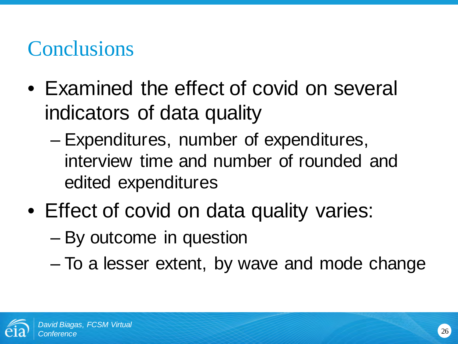# **Conclusions**

- Examined the effect of covid on several indicators of data quality
	- Expenditures, number of expenditures, interview time and number of rounded and edited expenditures
- Effect of covid on data quality varies:
	- By outcome in question
	- To a lesser extent, by wave and mode change